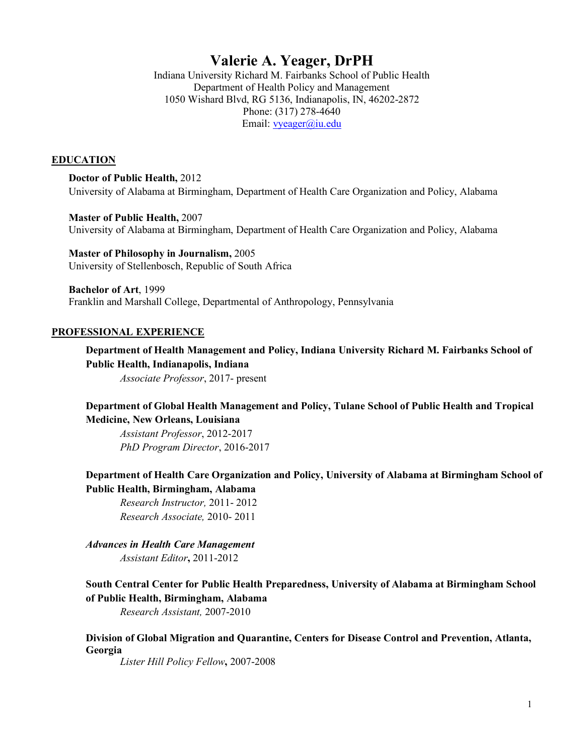# **Valerie A. Yeager, DrPH**

Indiana University Richard M. Fairbanks School of Public Health Department of Health Policy and Management 1050 Wishard Blvd, RG 5136, Indianapolis, IN, 46202-2872 Phone: (317) 278-4640 Email: vyeager@iu.edu

#### **EDUCATION**

**Doctor of Public Health,** 2012 University of Alabama at Birmingham, Department of Health Care Organization and Policy, Alabama

**Master of Public Health,** 2007 University of Alabama at Birmingham, Department of Health Care Organization and Policy, Alabama

**Master of Philosophy in Journalism,** 2005 University of Stellenbosch, Republic of South Africa

**Bachelor of Art**, 1999 Franklin and Marshall College, Departmental of Anthropology, Pennsylvania

#### **PROFESSIONAL EXPERIENCE**

**Department of Health Management and Policy, Indiana University Richard M. Fairbanks School of Public Health, Indianapolis, Indiana**

*Associate Professor*, 2017- present

### **Department of Global Health Management and Policy, Tulane School of Public Health and Tropical Medicine, New Orleans, Louisiana**

*Assistant Professor*, 2012-2017 *PhD Program Director*, 2016-2017

**Department of Health Care Organization and Policy, University of Alabama at Birmingham School of Public Health, Birmingham, Alabama**

*Research Instructor,* 2011- 2012 *Research Associate,* 2010- 2011

*Advances in Health Care Management Assistant Editor***,** 2011-2012

## **South Central Center for Public Health Preparedness, University of Alabama at Birmingham School of Public Health, Birmingham, Alabama**

*Research Assistant,* 2007-2010

### **Division of Global Migration and Quarantine, Centers for Disease Control and Prevention, Atlanta, Georgia**

*Lister Hill Policy Fellow***,** 2007-2008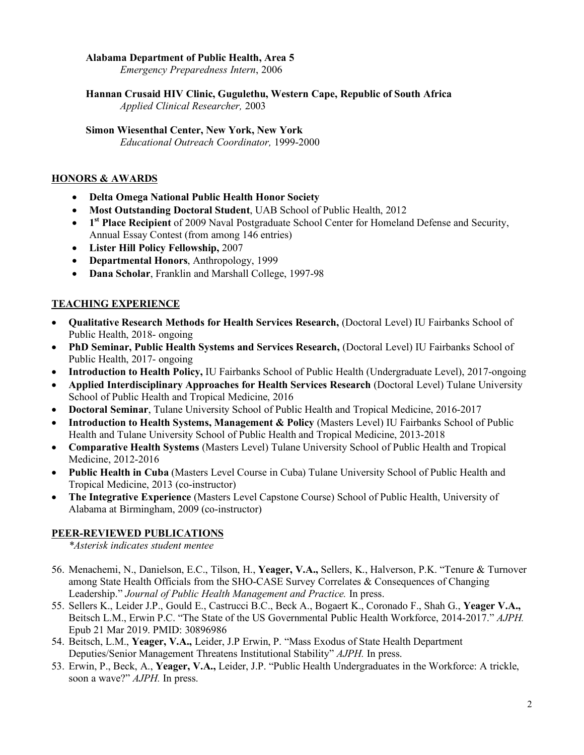## **Alabama Department of Public Health, Area 5**

*Emergency Preparedness Intern*, 2006

## **Hannan Crusaid HIV Clinic, Gugulethu, Western Cape, Republic of South Africa**

*Applied Clinical Researcher,* 2003

### **Simon Wiesenthal Center, New York, New York**

*Educational Outreach Coordinator,* 1999-2000

## **HONORS & AWARDS**

- **Delta Omega National Public Health Honor Society**
- **Most Outstanding Doctoral Student**, UAB School of Public Health, 2012
- **1st Place Recipient** of 2009 Naval Postgraduate School Center for Homeland Defense and Security, Annual Essay Contest (from among 146 entries)
- **Lister Hill Policy Fellowship,** 2007
- **Departmental Honors**, Anthropology, 1999
- **Dana Scholar**, Franklin and Marshall College, 1997-98

## **TEACHING EXPERIENCE**

- **Qualitative Research Methods for Health Services Research,** (Doctoral Level) IU Fairbanks School of Public Health, 2018- ongoing
- **PhD Seminar, Public Health Systems and Services Research,** (Doctoral Level) IU Fairbanks School of Public Health, 2017- ongoing
- **Introduction to Health Policy,** IU Fairbanks School of Public Health (Undergraduate Level), 2017-ongoing
- **Applied Interdisciplinary Approaches for Health Services Research** (Doctoral Level) Tulane University School of Public Health and Tropical Medicine, 2016
- **Doctoral Seminar**, Tulane University School of Public Health and Tropical Medicine, 2016-2017
- **Introduction to Health Systems, Management & Policy** (Masters Level) IU Fairbanks School of Public Health and Tulane University School of Public Health and Tropical Medicine, 2013-2018
- **Comparative Health Systems** (Masters Level) Tulane University School of Public Health and Tropical Medicine, 2012-2016
- **Public Health in Cuba** (Masters Level Course in Cuba) Tulane University School of Public Health and Tropical Medicine, 2013 (co-instructor)
- **The Integrative Experience** (Masters Level Capstone Course) School of Public Health, University of Alabama at Birmingham, 2009 (co-instructor)

### **PEER-REVIEWED PUBLICATIONS**

*\*Asterisk indicates student mentee*

- 56. Menachemi, N., Danielson, E.C., Tilson, H., **Yeager, V.A.,** Sellers, K., Halverson, P.K. "Tenure & Turnover among State Health Officials from the SHO-CASE Survey Correlates & Consequences of Changing Leadership." *Journal of Public Health Management and Practice.* In press.
- 55. Sellers K., Leider J.P., Gould E., Castrucci B.C., Beck A., Bogaert K., Coronado F., Shah G., **Yeager V.A.,**  Beitsch L.M., Erwin P.C. "The State of the US Governmental Public Health Workforce, 2014-2017." *AJPH.*  Epub 21 Mar 2019. PMID: 30896986
- 54. Beitsch, L.M., **Yeager, V.A.,** Leider, J.P Erwin, P. "Mass Exodus of State Health Department Deputies/Senior Management Threatens Institutional Stability" *AJPH.* In press.
- 53. Erwin, P., Beck, A., **Yeager, V.A.,** Leider, J.P. "Public Health Undergraduates in the Workforce: A trickle, soon a wave?" *AJPH.* In press.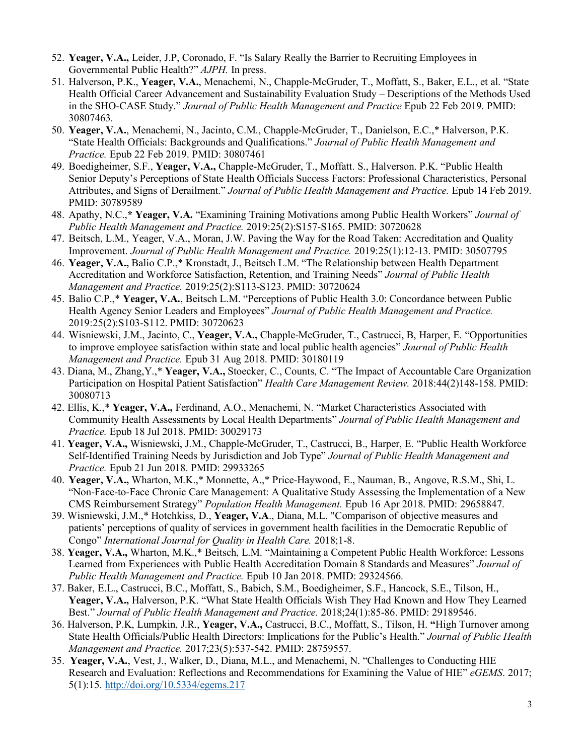- 52. **Yeager, V.A.,** Leider, J.P, Coronado, F. "Is Salary Really the Barrier to Recruiting Employees in Governmental Public Health?" *AJPH.* In press.
- 51. Halverson, P.K., **Yeager, V.A.**, Menachemi, N., Chapple-McGruder, T., Moffatt, S., Baker, E.L., et al. "State Health Official Career Advancement and Sustainability Evaluation Study – Descriptions of the Methods Used in the SHO-CASE Study." *Journal of Public Health Management and Practice* Epub 22 Feb 2019. PMID: 30807463*.*
- 50. **Yeager, V.A.**, Menachemi, N., Jacinto, C.M., Chapple-McGruder, T., Danielson, E.C.,\* Halverson, P.K. "State Health Officials: Backgrounds and Qualifications." *Journal of Public Health Management and Practice.* Epub 22 Feb 2019. PMID: 30807461
- 49. Boedigheimer, S.F., **Yeager, V.A.,** Chapple-McGruder, T., Moffatt. S., Halverson. P.K. "Public Health Senior Deputy's Perceptions of State Health Officials Success Factors: Professional Characteristics, Personal Attributes, and Signs of Derailment." *Journal of Public Health Management and Practice.* Epub 14 Feb 2019. PMID: 30789589
- 48. Apathy, N.C.,**\* Yeager, V.A.** "Examining Training Motivations among Public Health Workers" *Journal of Public Health Management and Practice.* 2019:25(2):S157-S165. PMID: 30720628
- 47. Beitsch, L.M., Yeager, V.A., Moran, J.W. Paving the Way for the Road Taken: Accreditation and Quality Improvement. *Journal of Public Health Management and Practice.* 2019:25(1):12-13. PMID: 30507795
- 46. **Yeager, V.A.,** Balio C.P.,\* Kronstadt, J., Beitsch L.M. "The Relationship between Health Department Accreditation and Workforce Satisfaction, Retention, and Training Needs" *Journal of Public Health Management and Practice.* 2019:25(2):S113-S123. PMID: 30720624
- 45. Balio C.P.,\* **Yeager, V.A.**, Beitsch L.M. "Perceptions of Public Health 3.0: Concordance between Public Health Agency Senior Leaders and Employees" *Journal of Public Health Management and Practice.*  2019:25(2):S103-S112. PMID: 30720623
- 44. Wisniewski, J.M., Jacinto, C., **Yeager, V.A.,** Chapple-McGruder, T., Castrucci, B, Harper, E. "Opportunities to improve employee satisfaction within state and local public health agencies" *Journal of Public Health Management and Practice.* Epub 31 Aug 2018. PMID: 30180119
- 43. Diana, M., Zhang,Y.,\* **Yeager, V.A.,** Stoecker, C., Counts, C. "The Impact of Accountable Care Organization Participation on Hospital Patient Satisfaction" *Health Care Management Review.* 2018:44(2)148-158. PMID: 30080713
- 42. Ellis, K.,\* **Yeager, V.A.,** Ferdinand, A.O., Menachemi, N. "Market Characteristics Associated with Community Health Assessments by Local Health Departments" *Journal of Public Health Management and Practice.* Epub 18 Jul 2018. PMID: 30029173
- 41. **Yeager, V.A.,** Wisniewski, J.M., Chapple-McGruder, T., Castrucci, B., Harper, E. "Public Health Workforce Self-Identified Training Needs by Jurisdiction and Job Type" *Journal of Public Health Management and Practice.* Epub 21 Jun 2018. PMID: 29933265
- 40. **Yeager, V.A.,** Wharton, M.K.,\* Monnette, A.,\* Price-Haywood, E., Nauman, B., Angove, R.S.M., Shi, L. "Non-Face-to-Face Chronic Care Management: A Qualitative Study Assessing the Implementation of a New CMS Reimbursement Strategy" *Population Health Management.* Epub 16 Apr 2018. PMID: 29658847.
- 39. Wisniewski, J.M.,\* Hotchkiss, D., **Yeager, V.A**., Diana, M.L. "Comparison of objective measures and patients' perceptions of quality of services in government health facilities in the Democratic Republic of Congo" *International Journal for Quality in Health Care.* 2018;1-8.
- 38. **Yeager, V.A.,** Wharton, M.K.,\* Beitsch, L.M. "Maintaining a Competent Public Health Workforce: Lessons Learned from Experiences with Public Health Accreditation Domain 8 Standards and Measures" *Journal of Public Health Management and Practice.* Epub 10 Jan 2018. PMID: 29324566.
- 37. Baker, E.L., Castrucci, B.C., Moffatt, S., Babich, S.M., Boedigheimer, S.F., Hancock, S.E., Tilson, H., **Yeager, V.A.,** Halverson, P.K. "What State Health Officials Wish They Had Known and How They Learned Best." *Journal of Public Health Management and Practice.* 2018;24(1):85-86. PMID: 29189546.
- 36. Halverson, P.K, Lumpkin, J.R., **Yeager, V.A.,** Castrucci, B.C., Moffatt, S., Tilson, H. **"**High Turnover among State Health Officials/Public Health Directors: Implications for the Public's Health." *Journal of Public Health Management and Practice.* 2017;23(5):537-542. PMID: 28759557.
- 35. **Yeager, V.A.**, Vest, J., Walker, D., Diana, M.L., and Menachemi, N. "Challenges to Conducting HIE Research and Evaluation: Reflections and Recommendations for Examining the Value of HIE" *eGEMS*. 2017; 5(1):15. http://doi.org/10.5334/egems.217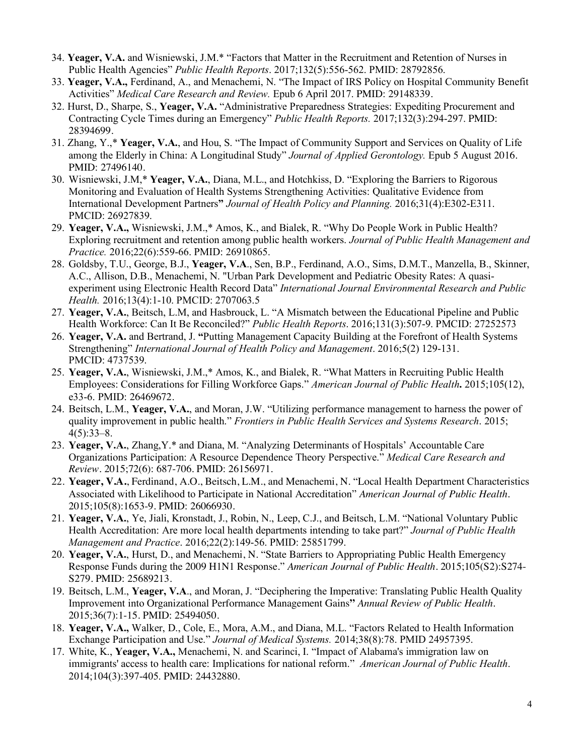- 34. **Yeager, V.A.** and Wisniewski, J.M.\* "Factors that Matter in the Recruitment and Retention of Nurses in Public Health Agencies" *Public Health Reports*. 2017;132(5):556-562. PMID: 28792856.
- 33. **Yeager, V.A.,** Ferdinand, A., and Menachemi, N. "The Impact of IRS Policy on Hospital Community Benefit Activities" *Medical Care Research and Review.* Epub 6 April 2017. PMID: 29148339.
- 32. Hurst, D., Sharpe, S., **Yeager, V.A.** "Administrative Preparedness Strategies: Expediting Procurement and Contracting Cycle Times during an Emergency" *Public Health Reports.* 2017;132(3):294-297. PMID: 28394699.
- 31. Zhang, Y.,\* **Yeager, V.A.**, and Hou, S. "The Impact of Community Support and Services on Quality of Life among the Elderly in China: A Longitudinal Study" *Journal of Applied Gerontology.* Epub 5 August 2016. PMID: 27496140.
- 30. Wisniewski, J.M,\* **Yeager, V.A.**, Diana, M.L., and Hotchkiss, D. "Exploring the Barriers to Rigorous Monitoring and Evaluation of Health Systems Strengthening Activities: Qualitative Evidence from International Development Partners**"** *Journal of Health Policy and Planning.* 2016;31(4):E302-E311. PMCID: 26927839.
- 29. **Yeager, V.A.,** Wisniewski, J.M.,\* Amos, K., and Bialek, R. "Why Do People Work in Public Health? Exploring recruitment and retention among public health workers. *Journal of Public Health Management and Practice.* 2016;22(6):559-66. PMID: 26910865.
- 28. Goldsby, T.U., George, B.J., **Yeager, V.A**., Sen, B.P., Ferdinand, A.O., Sims, D.M.T., Manzella, B., Skinner, A.C., Allison, D.B., Menachemi, N. "Urban Park Development and Pediatric Obesity Rates: A quasiexperiment using Electronic Health Record Data" *International Journal Environmental Research and Public Health.* 2016;13(4):1-10. PMCID: 2707063.5
- 27. **Yeager, V.A.**, Beitsch, L.M, and Hasbrouck, L. "A Mismatch between the Educational Pipeline and Public Health Workforce: Can It Be Reconciled?" *Public Health Reports*. 2016;131(3):507-9. PMCID: 27252573
- 26. **Yeager, V.A.** and Bertrand, J. **"**Putting Management Capacity Building at the Forefront of Health Systems Strengthening" *International Journal of Health Policy and Management*. 2016;5(2) 129-131. PMCID: 4737539.
- 25. **Yeager, V.A.**, Wisniewski, J.M.,\* Amos, K., and Bialek, R. "What Matters in Recruiting Public Health Employees: Considerations for Filling Workforce Gaps." *American Journal of Public Health***.** 2015;105(12), e33-6. PMID: 26469672.
- 24. Beitsch, L.M., **Yeager, V.A.**, and Moran, J.W. "Utilizing performance management to harness the power of quality improvement in public health." *Frontiers in Public Health Services and Systems Research*. 2015;  $4(5):33-8.$
- 23. **Yeager, V.A.**, Zhang,Y.\* and Diana, M. "Analyzing Determinants of Hospitals' Accountable Care Organizations Participation: A Resource Dependence Theory Perspective." *Medical Care Research and Review.* 2015;72(6): 687-706. PMID: 26156971.
- 22. **Yeager, V.A.**, Ferdinand, A.O., Beitsch, L.M., and Menachemi, N. "Local Health Department Characteristics Associated with Likelihood to Participate in National Accreditation" *American Journal of Public Health.* 2015;105(8):1653-9. PMID: 26066930.
- 21. **Yeager, V.A.**, Ye, Jiali, Kronstadt, J., Robin, N., Leep, C.J., and Beitsch, L.M. "National Voluntary Public Health Accreditation: Are more local health departments intending to take part?" *Journal of Public Health Management and Practice*. 2016;22(2):149-56. PMID: 25851799.
- 20. **Yeager, V.A.**, Hurst, D., and Menachemi, N. "State Barriers to Appropriating Public Health Emergency Response Funds during the 2009 H1N1 Response." *American Journal of Public Health*. 2015;105(S2):S274- S279. PMID: 25689213.
- 19. Beitsch, L.M., **Yeager, V.A**., and Moran, J. "Deciphering the Imperative: Translating Public Health Quality Improvement into Organizational Performance Management Gains**"** *Annual Review of Public Health*. 2015;36(7):1-15. PMID: 25494050.
- 18. **Yeager, V.A.,** Walker, D., Cole, E., Mora, A.M., and Diana, M.L. "Factors Related to Health Information Exchange Participation and Use." *Journal of Medical Systems.* 2014;38(8):78. PMID 24957395.
- 17. White, K., **Yeager, V.A.,** Menachemi, N. and Scarinci, I. "Impact of Alabama's immigration law on immigrants' access to health care: Implications for national reform." *American Journal of Public Health*. 2014;104(3):397-405. PMID: 24432880.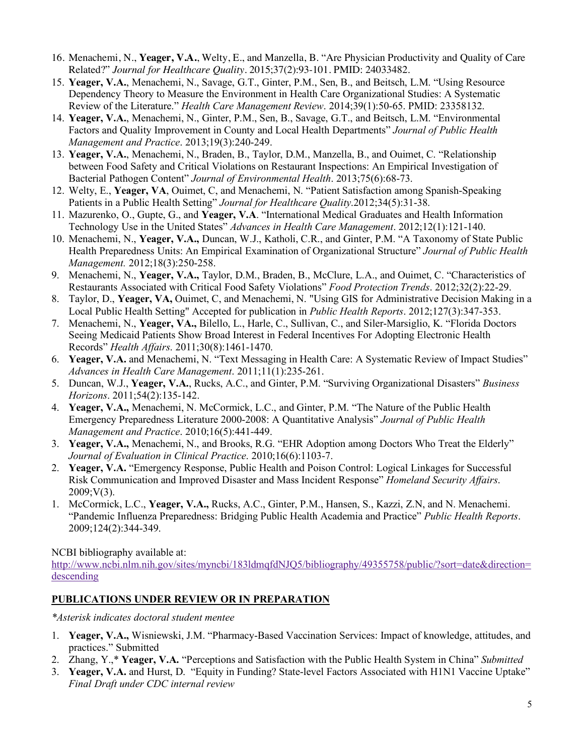- 16. Menachemi, N., **Yeager, V.A.**, Welty, E., and Manzella, B. "Are Physician Productivity and Quality of Care Related?" *Journal for Healthcare Quality.* 2015;37(2):93-101. PMID: 24033482.
- 15. **Yeager, V.A.**, Menachemi, N., Savage, G.T., Ginter, P.M., Sen, B., and Beitsch, L.M. "Using Resource Dependency Theory to Measure the Environment in Health Care Organizational Studies: A Systematic Review of the Literature." *Health Care Management Review*. 2014;39(1):50-65. PMID: 23358132.
- 14. **Yeager, V.A.**, Menachemi, N., Ginter, P.M., Sen, B., Savage, G.T., and Beitsch, L.M. "Environmental Factors and Quality Improvement in County and Local Health Departments" *Journal of Public Health Management and Practice*. 2013;19(3):240-249.
- 13. **Yeager, V.A.**, Menachemi, N., Braden, B., Taylor, D.M., Manzella, B., and Ouimet, C. "Relationship between Food Safety and Critical Violations on Restaurant Inspections: An Empirical Investigation of Bacterial Pathogen Content" *Journal of Environmental Health*. 2013;75(6):68-73.
- 12. Welty, E., **Yeager, VA**, Ouimet, C, and Menachemi, N. "Patient Satisfaction among Spanish-Speaking Patients in a Public Health Setting" *Journal for Healthcare Quality*.2012;34(5):31-38.
- 11. Mazurenko, O., Gupte, G., and **Yeager, V.A**. "International Medical Graduates and Health Information Technology Use in the United States" *Advances in Health Care Management*. 2012;12(1):121-140.
- 10. Menachemi, N., **Yeager, V.A.,** Duncan, W.J., Katholi, C.R., and Ginter, P.M. "A Taxonomy of State Public Health Preparedness Units: An Empirical Examination of Organizational Structure" *Journal of Public Health Management.* 2012;18(3):250-258.
- 9. Menachemi, N., **Yeager, V.A.,** Taylor, D.M., Braden, B., McClure, L.A., and Ouimet, C. "Characteristics of Restaurants Associated with Critical Food Safety Violations" *Food Protection Trends*. 2012;32(2):22-29.
- 8. Taylor, D., **Yeager, VA,** Ouimet, C, and Menachemi, N. "Using GIS for Administrative Decision Making in a Local Public Health Setting" Accepted for publication in *Public Health Reports*. 2012;127(3):347-353.
- 7. Menachemi, N., **Yeager, VA.,** Bilello, L., Harle, C., Sullivan, C., and Siler-Marsiglio, K. "Florida Doctors Seeing Medicaid Patients Show Broad Interest in Federal Incentives For Adopting Electronic Health Records" *Health Affairs*. 2011;30(8):1461-1470.
- 6. **Yeager, V.A.** and Menachemi, N. "Text Messaging in Health Care: A Systematic Review of Impact Studies" *Advances in Health Care Management*. 2011;11(1):235-261.
- 5. Duncan, W.J., **Yeager, V.A.**, Rucks, A.C., and Ginter, P.M. "Surviving Organizational Disasters" *Business Horizons*. 2011;54(2):135-142.
- 4. **Yeager, V.A.,** Menachemi, N. McCormick, L.C., and Ginter, P.M. "The Nature of the Public Health Emergency Preparedness Literature 2000-2008: A Quantitative Analysis" *Journal of Public Health Management and Practice*. 2010;16(5):441-449.
- 3. **Yeager, V.A.,** Menachemi, N., and Brooks, R.G. "EHR Adoption among Doctors Who Treat the Elderly" *Journal of Evaluation in Clinical Practice*. 2010;16(6):1103-7.
- 2. **Yeager, V.A.** "Emergency Response, Public Health and Poison Control: Logical Linkages for Successful Risk Communication and Improved Disaster and Mass Incident Response" *Homeland Security Affairs*.  $2009; V(3)$ .
- 1. McCormick, L.C., **Yeager, V.A.,** Rucks, A.C., Ginter, P.M., Hansen, S., Kazzi, Z.N, and N. Menachemi. "Pandemic Influenza Preparedness: Bridging Public Health Academia and Practice" *Public Health Reports*. 2009;124(2):344-349.

NCBI bibliography available at:

http://www.ncbi.nlm.nih.gov/sites/myncbi/183ldmqfdNJQ5/bibliography/49355758/public/?sort=date&direction= descending

## **PUBLICATIONS UNDER REVIEW OR IN PREPARATION**

*\*Asterisk indicates doctoral student mentee*

- 1. **Yeager, V.A.,** Wisniewski, J.M. "Pharmacy-Based Vaccination Services: Impact of knowledge, attitudes, and practices." Submitted
- 2. Zhang, Y.,\* **Yeager, V.A.** "Perceptions and Satisfaction with the Public Health System in China" *Submitted*
- 3. **Yeager, V.A.** and Hurst, D. "Equity in Funding? State-level Factors Associated with H1N1 Vaccine Uptake" *Final Draft under CDC internal review*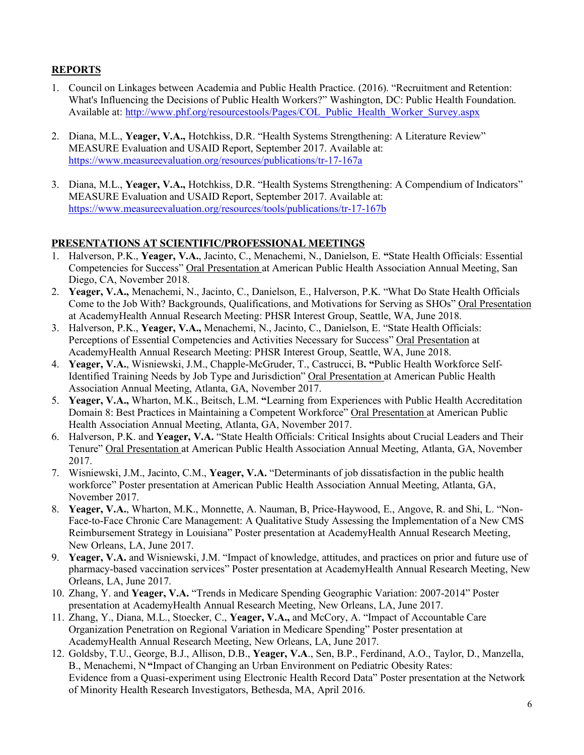## **REPORTS**

- 1. Council on Linkages between Academia and Public Health Practice. (2016). "Recruitment and Retention: What's Influencing the Decisions of Public Health Workers?" Washington, DC: Public Health Foundation. Available at: http://www.phf.org/resourcestools/Pages/COL\_Public\_Health\_Worker\_Survey.aspx
- 2. Diana, M.L., **Yeager, V.A.,** Hotchkiss, D.R. "Health Systems Strengthening: A Literature Review" MEASURE Evaluation and USAID Report, September 2017. Available at: https://www.measureevaluation.org/resources/publications/tr-17-167a
- 3. Diana, M.L., **Yeager, V.A.,** Hotchkiss, D.R. "Health Systems Strengthening: A Compendium of Indicators" MEASURE Evaluation and USAID Report, September 2017. Available at: https://www.measureevaluation.org/resources/tools/publications/tr-17-167b

## **PRESENTATIONS AT SCIENTIFIC/PROFESSIONAL MEETINGS**

- 1. Halverson, P.K., **Yeager, V.A.**, Jacinto, C., Menachemi, N., Danielson, E. **"**State Health Officials: Essential Competencies for Success" Oral Presentation at American Public Health Association Annual Meeting, San Diego, CA, November 2018.
- 2. **Yeager, V.A.,** Menachemi, N., Jacinto, C., Danielson, E., Halverson, P.K. "What Do State Health Officials Come to the Job With? Backgrounds, Qualifications, and Motivations for Serving as SHOs" Oral Presentation at AcademyHealth Annual Research Meeting: PHSR Interest Group, Seattle, WA, June 2018.
- 3. Halverson, P.K., **Yeager, V.A.,** Menachemi, N., Jacinto, C., Danielson, E. "State Health Officials: Perceptions of Essential Competencies and Activities Necessary for Success" Oral Presentation at AcademyHealth Annual Research Meeting: PHSR Interest Group, Seattle, WA, June 2018.
- 4. **Yeager, V.A.**, Wisniewski, J.M., Chapple-McGruder, T., Castrucci, B**. "**Public Health Workforce Self-Identified Training Needs by Job Type and Jurisdiction" Oral Presentation at American Public Health Association Annual Meeting, Atlanta, GA, November 2017.
- 5. **Yeager, V.A.,** Wharton, M.K., Beitsch, L.M. **"**Learning from Experiences with Public Health Accreditation Domain 8: Best Practices in Maintaining a Competent Workforce" Oral Presentation at American Public Health Association Annual Meeting, Atlanta, GA, November 2017.
- 6. Halverson, P.K. and **Yeager, V.A.** "State Health Officials: Critical Insights about Crucial Leaders and Their Tenure" Oral Presentation at American Public Health Association Annual Meeting, Atlanta, GA, November 2017.
- 7. Wisniewski, J.M., Jacinto, C.M., **Yeager, V.A.** "Determinants of job dissatisfaction in the public health workforce" Poster presentation at American Public Health Association Annual Meeting, Atlanta, GA, November 2017.
- 8. **Yeager, V.A.**, Wharton, M.K., Monnette, A. Nauman, B, Price-Haywood, E., Angove, R. and Shi, L. "Non-Face-to-Face Chronic Care Management: A Qualitative Study Assessing the Implementation of a New CMS Reimbursement Strategy in Louisiana" Poster presentation at AcademyHealth Annual Research Meeting, New Orleans, LA, June 2017.
- 9. **Yeager, V.A.** and Wisniewski, J.M. "Impact of knowledge, attitudes, and practices on prior and future use of pharmacy-based vaccination services" Poster presentation at AcademyHealth Annual Research Meeting, New Orleans, LA, June 2017.
- 10. Zhang, Y. and **Yeager, V.A.** "Trends in Medicare Spending Geographic Variation: 2007-2014" Poster presentation at AcademyHealth Annual Research Meeting, New Orleans, LA, June 2017.
- 11. Zhang, Y., Diana, M.L., Stoecker, C., **Yeager, V.A.,** and McCory, A. "Impact of Accountable Care Organization Penetration on Regional Variation in Medicare Spending" Poster presentation at AcademyHealth Annual Research Meeting, New Orleans, LA, June 2017.
- 12. Goldsby, T.U., George, B.J., Allison, D.B., **Yeager, V.A**., Sen, B.P., Ferdinand, A.O., Taylor, D., Manzella, B., Menachemi, N **"**Impact of Changing an Urban Environment on Pediatric Obesity Rates: Evidence from a Quasi-experiment using Electronic Health Record Data" Poster presentation at the Network of Minority Health Research Investigators, Bethesda, MA, April 2016.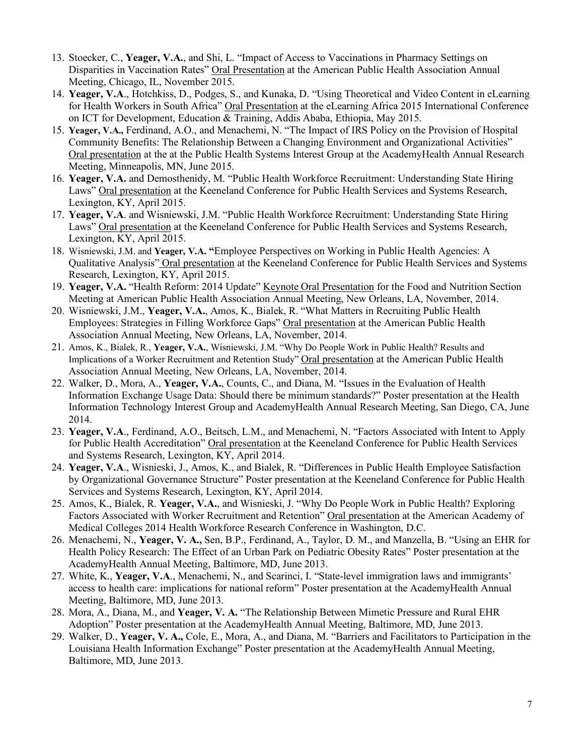- 13. Stoecker, C., **Yeager, V.A.**, and Shi, L. "Impact of Access to Vaccinations in Pharmacy Settings on Disparities in Vaccination Rates" Oral Presentation at the American Public Health Association Annual Meeting, Chicago, IL, November 2015.
- 14. **Yeager, V.A**., Hotchkiss, D., Podges, S., and Kunaka, D. "Using Theoretical and Video Content in eLearning for Health Workers in South Africa" Oral Presentation at the eLearning Africa 2015 International Conference on ICT for Development, Education & Training, Addis Ababa, Ethiopia, May 2015.
- 15. **Yeager, V.A.,** Ferdinand, A.O., and Menachemi, N. "The Impact of IRS Policy on the Provision of Hospital Community Benefits: The Relationship Between a Changing Environment and Organizational Activities" Oral presentation at the at the Public Health Systems Interest Group at the AcademyHealth Annual Research Meeting, Minneapolis, MN, June 2015.
- 16. **Yeager, V.A.** and Demosthenidy, M. "Public Health Workforce Recruitment: Understanding State Hiring Laws" Oral presentation at the Keeneland Conference for Public Health Services and Systems Research, Lexington, KY, April 2015.
- 17. **Yeager, V.A**. and Wisniewski, J.M. "Public Health Workforce Recruitment: Understanding State Hiring Laws" Oral presentation at the Keeneland Conference for Public Health Services and Systems Research, Lexington, KY, April 2015.
- 18. Wisniewski, J.M. and **Yeager, V.A. "**Employee Perspectives on Working in Public Health Agencies: A Qualitative Analysis" Oral presentation at the Keeneland Conference for Public Health Services and Systems Research, Lexington, KY, April 2015.
- 19. Yeager, V.A. "Health Reform: 2014 Update" Keynote Oral Presentation for the Food and Nutrition Section Meeting at American Public Health Association Annual Meeting, New Orleans, LA, November, 2014.
- 20. Wisniewski, J.M., **Yeager, V.A.**, Amos, K., Bialek, R. "What Matters in Recruiting Public Health Employees: Strategies in Filling Workforce Gaps" Oral presentation at the American Public Health Association Annual Meeting, New Orleans, LA, November, 2014.
- 21. Amos, K., Bialek, R., **Yeager, V.A.**, Wisniewski, J.M. "Why Do People Work in Public Health? Results and Implications of a Worker Recruitment and Retention Study" Oral presentation at the American Public Health Association Annual Meeting, New Orleans, LA, November, 2014.
- 22. Walker, D., Mora, A., **Yeager, V.A.**, Counts, C., and Diana, M. "Issues in the Evaluation of Health Information Exchange Usage Data: Should there be minimum standards?" Poster presentation at the Health Information Technology Interest Group and AcademyHealth Annual Research Meeting, San Diego, CA, June 2014.
- 23. **Yeager, V.A**., Ferdinand, A.O., Beitsch, L.M., and Menachemi, N. "Factors Associated with Intent to Apply for Public Health Accreditation" Oral presentation at the Keeneland Conference for Public Health Services and Systems Research, Lexington, KY, April 2014.
- 24. **Yeager, V.A**., Wisnieski, J., Amos, K., and Bialek, R. "Differences in Public Health Employee Satisfaction by Organizational Governance Structure" Poster presentation at the Keeneland Conference for Public Health Services and Systems Research, Lexington, KY, April 2014.
- 25. Amos, K., Bialek, R. **Yeager, V.A.**, and Wisnieski, J. "Why Do People Work in Public Health? Exploring Factors Associated with Worker Recruitment and Retention" Oral presentation at the American Academy of Medical Colleges 2014 Health Workforce Research Conference in Washington, D.C.
- 26. Menachemi, N., **Yeager, V. A.,** Sen, B.P., Ferdinand, A., Taylor, D. M., and Manzella, B. "Using an EHR for Health Policy Research: The Effect of an Urban Park on Pediatric Obesity Rates" Poster presentation at the AcademyHealth Annual Meeting, Baltimore, MD, June 2013.
- 27. White, K., **Yeager, V.A**., Menachemi, N., and Scarinci, I. "State-level immigration laws and immigrants' access to health care: implications for national reform" Poster presentation at the AcademyHealth Annual Meeting, Baltimore, MD, June 2013.
- 28. Mora, A., Diana, M., and **Yeager, V. A.** "The Relationship Between Mimetic Pressure and Rural EHR Adoption" Poster presentation at the AcademyHealth Annual Meeting, Baltimore, MD, June 2013.
- 29. Walker, D., **Yeager, V. A.,** Cole, E., Mora, A., and Diana, M. "Barriers and Facilitators to Participation in the Louisiana Health Information Exchange" Poster presentation at the AcademyHealth Annual Meeting, Baltimore, MD, June 2013.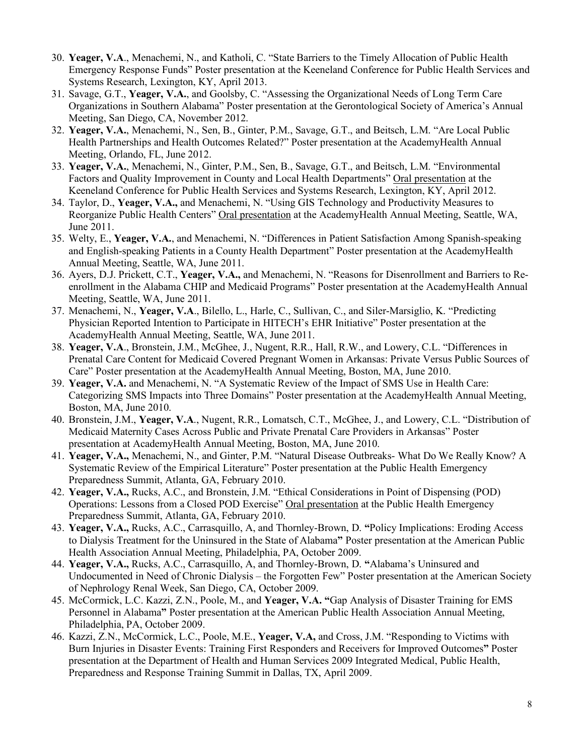- 30. **Yeager, V.A**., Menachemi, N., and Katholi, C. "State Barriers to the Timely Allocation of Public Health Emergency Response Funds" Poster presentation at the Keeneland Conference for Public Health Services and Systems Research, Lexington, KY, April 2013.
- 31. Savage, G.T., **Yeager, V.A.**, and Goolsby, C. "Assessing the Organizational Needs of Long Term Care Organizations in Southern Alabama" Poster presentation at the Gerontological Society of America's Annual Meeting, San Diego, CA, November 2012.
- 32. **Yeager, V.A.**, Menachemi, N., Sen, B., Ginter, P.M., Savage, G.T., and Beitsch, L.M. "Are Local Public Health Partnerships and Health Outcomes Related?" Poster presentation at the AcademyHealth Annual Meeting, Orlando, FL, June 2012.
- 33. **Yeager, V.A.**, Menachemi, N., Ginter, P.M., Sen, B., Savage, G.T., and Beitsch, L.M. "Environmental Factors and Quality Improvement in County and Local Health Departments" Oral presentation at the Keeneland Conference for Public Health Services and Systems Research, Lexington, KY, April 2012.
- 34. Taylor, D., **Yeager, V.A.,** and Menachemi, N. "Using GIS Technology and Productivity Measures to Reorganize Public Health Centers" Oral presentation at the AcademyHealth Annual Meeting, Seattle, WA, June 2011.
- 35. Welty, E., **Yeager, V.A.**, and Menachemi, N. "Differences in Patient Satisfaction Among Spanish-speaking and English-speaking Patients in a County Health Department" Poster presentation at the AcademyHealth Annual Meeting, Seattle, WA, June 2011.
- 36. Ayers, D.J. Prickett, C.T., **Yeager, V.A.,** and Menachemi, N. "Reasons for Disenrollment and Barriers to Reenrollment in the Alabama CHIP and Medicaid Programs" Poster presentation at the AcademyHealth Annual Meeting, Seattle, WA, June 2011.
- 37. Menachemi, N., **Yeager, V.A**., Bilello, L., Harle, C., Sullivan, C., and Siler-Marsiglio, K. "Predicting Physician Reported Intention to Participate in HITECH's EHR Initiative" Poster presentation at the AcademyHealth Annual Meeting, Seattle, WA, June 2011.
- 38. **Yeager, V.A**., Bronstein, J.M., McGhee, J., Nugent, R.R., Hall, R.W., and Lowery, C.L. "Differences in Prenatal Care Content for Medicaid Covered Pregnant Women in Arkansas: Private Versus Public Sources of Care" Poster presentation at the AcademyHealth Annual Meeting, Boston, MA, June 2010.
- 39. **Yeager, V.A.** and Menachemi, N. "A Systematic Review of the Impact of SMS Use in Health Care: Categorizing SMS Impacts into Three Domains" Poster presentation at the AcademyHealth Annual Meeting, Boston, MA, June 2010.
- 40. Bronstein, J.M., **Yeager, V.A**., Nugent, R.R., Lomatsch, C.T., McGhee, J., and Lowery, C.L. "Distribution of Medicaid Maternity Cases Across Public and Private Prenatal Care Providers in Arkansas" Poster presentation at AcademyHealth Annual Meeting, Boston, MA, June 2010.
- 41. **Yeager, V.A.,** Menachemi, N., and Ginter, P.M. "Natural Disease Outbreaks- What Do We Really Know? A Systematic Review of the Empirical Literature" Poster presentation at the Public Health Emergency Preparedness Summit, Atlanta, GA, February 2010.
- 42. **Yeager, V.A.,** Rucks, A.C., and Bronstein, J.M. "Ethical Considerations in Point of Dispensing (POD) Operations: Lessons from a Closed POD Exercise" Oral presentation at the Public Health Emergency Preparedness Summit, Atlanta, GA, February 2010.
- 43. **Yeager, V.A.,** Rucks, A.C., Carrasquillo, A, and Thornley-Brown, D. **"**Policy Implications: Eroding Access to Dialysis Treatment for the Uninsured in the State of Alabama**"** Poster presentation at the American Public Health Association Annual Meeting, Philadelphia, PA, October 2009.
- 44. **Yeager, V.A.,** Rucks, A.C., Carrasquillo, A, and Thornley-Brown, D. **"**Alabama's Uninsured and Undocumented in Need of Chronic Dialysis – the Forgotten Few" Poster presentation at the American Society of Nephrology Renal Week, San Diego, CA, October 2009.
- 45. McCormick, L.C. Kazzi, Z.N., Poole, M., and **Yeager, V.A. "**Gap Analysis of Disaster Training for EMS Personnel in Alabama**"** Poster presentation at the American Public Health Association Annual Meeting, Philadelphia, PA, October 2009.
- 46. Kazzi, Z.N., McCormick, L.C., Poole, M.E., **Yeager, V.A,** and Cross, J.M. "Responding to Victims with Burn Injuries in Disaster Events: Training First Responders and Receivers for Improved Outcomes**"** Poster presentation at the Department of Health and Human Services 2009 Integrated Medical, Public Health, Preparedness and Response Training Summit in Dallas, TX, April 2009.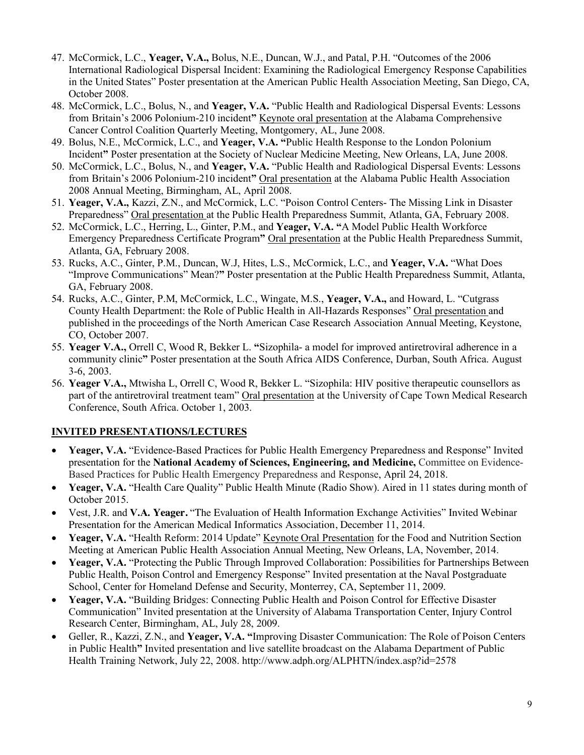- 47. McCormick, L.C., **Yeager, V.A.,** Bolus, N.E., Duncan, W.J., and Patal, P.H. "Outcomes of the 2006 International Radiological Dispersal Incident: Examining the Radiological Emergency Response Capabilities in the United States" Poster presentation at the American Public Health Association Meeting, San Diego, CA, October 2008.
- 48. McCormick, L.C., Bolus, N., and **Yeager, V.A.** "Public Health and Radiological Dispersal Events: Lessons from Britain's 2006 Polonium-210 incident**"** Keynote oral presentation at the Alabama Comprehensive Cancer Control Coalition Quarterly Meeting, Montgomery, AL, June 2008.
- 49. Bolus, N.E., McCormick, L.C., and **Yeager, V.A. "**Public Health Response to the London Polonium Incident**"** Poster presentation at the Society of Nuclear Medicine Meeting, New Orleans, LA, June 2008.
- 50. McCormick, L.C., Bolus, N., and **Yeager, V.A.** "Public Health and Radiological Dispersal Events: Lessons from Britain's 2006 Polonium-210 incident**"** Oral presentation at the Alabama Public Health Association 2008 Annual Meeting, Birmingham, AL, April 2008.
- 51. **Yeager, V.A.,** Kazzi, Z.N., and McCormick, L.C. "Poison Control Centers- The Missing Link in Disaster Preparedness" Oral presentation at the Public Health Preparedness Summit, Atlanta, GA, February 2008.
- 52. McCormick, L.C., Herring, L., Ginter, P.M., and **Yeager, V.A. "**A Model Public Health Workforce Emergency Preparedness Certificate Program**"** Oral presentation at the Public Health Preparedness Summit, Atlanta, GA, February 2008.
- 53. Rucks, A.C., Ginter, P.M., Duncan, W.J, Hites, L.S., McCormick, L.C., and **Yeager, V.A.** "What Does "Improve Communications" Mean?**"** Poster presentation at the Public Health Preparedness Summit, Atlanta, GA, February 2008.
- 54. Rucks, A.C., Ginter, P.M, McCormick, L.C., Wingate, M.S., **Yeager, V.A.,** and Howard, L. "Cutgrass County Health Department: the Role of Public Health in All-Hazards Responses" Oral presentation and published in the proceedings of the North American Case Research Association Annual Meeting, Keystone, CO, October 2007.
- 55. **Yeager V.A.,** Orrell C, Wood R, Bekker L. **"**Sizophila- a model for improved antiretroviral adherence in a community clinic**"** Poster presentation at the South Africa AIDS Conference, Durban, South Africa. August 3-6, 2003.
- 56. **Yeager V.A.,** Mtwisha L, Orrell C, Wood R, Bekker L. "Sizophila: HIV positive therapeutic counsellors as part of the antiretroviral treatment team" Oral presentation at the University of Cape Town Medical Research Conference, South Africa. October 1, 2003.

## **INVITED PRESENTATIONS/LECTURES**

- **Yeager, V.A.** "Evidence-Based Practices for Public Health Emergency Preparedness and Response" Invited presentation for the **National Academy of Sciences, Engineering, and Medicine,** Committee on Evidence-Based Practices for Public Health Emergency Preparedness and Response, April 24, 2018.
- **Yeager, V.A.** "Health Care Quality" Public Health Minute (Radio Show). Aired in 11 states during month of October 2015.
- Vest, J.R. and **V.A. Yeager.** "The Evaluation of Health Information Exchange Activities" Invited Webinar Presentation for the American Medical Informatics Association, December 11, 2014.
- **Yeager, V.A.** "Health Reform: 2014 Update" Keynote Oral Presentation for the Food and Nutrition Section Meeting at American Public Health Association Annual Meeting, New Orleans, LA, November, 2014.
- **Yeager, V.A.** "Protecting the Public Through Improved Collaboration: Possibilities for Partnerships Between Public Health, Poison Control and Emergency Response" Invited presentation at the Naval Postgraduate School, Center for Homeland Defense and Security, Monterrey, CA, September 11, 2009.
- **Yeager, V.A.** "Building Bridges: Connecting Public Health and Poison Control for Effective Disaster Communication" Invited presentation at the University of Alabama Transportation Center, Injury Control Research Center, Birmingham, AL, July 28, 2009.
- Geller, R., Kazzi, Z.N., and **Yeager, V.A. "**Improving Disaster Communication: The Role of Poison Centers in Public Health**"** Invited presentation and live satellite broadcast on the Alabama Department of Public Health Training Network, July 22, 2008. http://www.adph.org/ALPHTN/index.asp?id=2578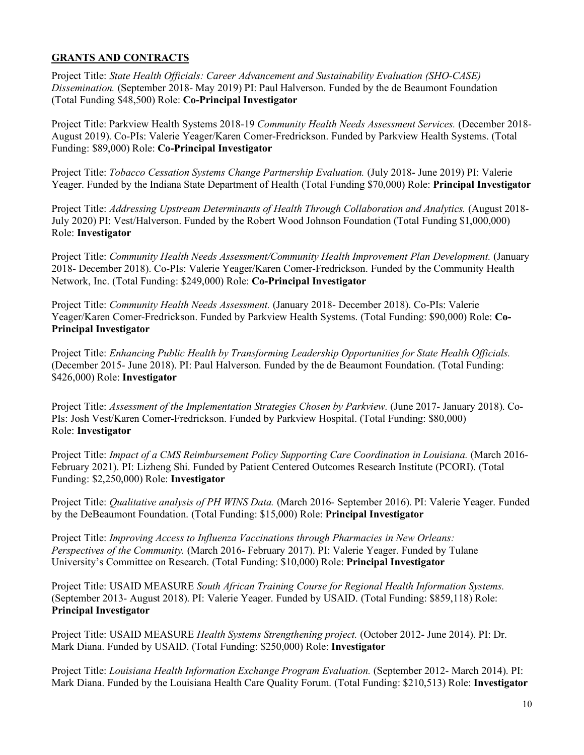## **GRANTS AND CONTRACTS**

Project Title: *State Health Officials: Career Advancement and Sustainability Evaluation (SHO-CASE) Dissemination.* (September 2018- May 2019) PI: Paul Halverson. Funded by the de Beaumont Foundation (Total Funding \$48,500) Role: **Co-Principal Investigator**

Project Title: Parkview Health Systems 2018-19 *Community Health Needs Assessment Services.* (December 2018- August 2019). Co-PIs: Valerie Yeager/Karen Comer-Fredrickson. Funded by Parkview Health Systems. (Total Funding: \$89,000) Role: **Co-Principal Investigator**

Project Title: *Tobacco Cessation Systems Change Partnership Evaluation.* (July 2018- June 2019) PI: Valerie Yeager. Funded by the Indiana State Department of Health (Total Funding \$70,000) Role: **Principal Investigator**

Project Title: *Addressing Upstream Determinants of Health Through Collaboration and Analytics.* (August 2018- July 2020) PI: Vest/Halverson. Funded by the Robert Wood Johnson Foundation (Total Funding \$1,000,000) Role: **Investigator**

Project Title: *Community Health Needs Assessment/Community Health Improvement Plan Development.* (January 2018- December 2018). Co-PIs: Valerie Yeager/Karen Comer-Fredrickson. Funded by the Community Health Network, Inc. (Total Funding: \$249,000) Role: **Co-Principal Investigator**

Project Title: *Community Health Needs Assessment.* (January 2018- December 2018). Co-PIs: Valerie Yeager/Karen Comer-Fredrickson. Funded by Parkview Health Systems. (Total Funding: \$90,000) Role: **Co-Principal Investigator**

Project Title: *Enhancing Public Health by Transforming Leadership Opportunities for State Health Officials.* (December 2015- June 2018). PI: Paul Halverson. Funded by the de Beaumont Foundation. (Total Funding: \$426,000) Role: **Investigator**

Project Title: *Assessment of the Implementation Strategies Chosen by Parkview.* (June 2017- January 2018). Co-PIs: Josh Vest/Karen Comer-Fredrickson. Funded by Parkview Hospital. (Total Funding: \$80,000) Role: **Investigator**

Project Title: *Impact of a CMS Reimbursement Policy Supporting Care Coordination in Louisiana.* (March 2016- February 2021). PI: Lizheng Shi. Funded by Patient Centered Outcomes Research Institute (PCORI). (Total Funding: \$2,250,000) Role: **Investigator**

Project Title: *Qualitative analysis of PH WINS Data.* (March 2016- September 2016). PI: Valerie Yeager. Funded by the DeBeaumont Foundation. (Total Funding: \$15,000) Role: **Principal Investigator**

Project Title: *Improving Access to Influenza Vaccinations through Pharmacies in New Orleans: Perspectives of the Community.* (March 2016- February 2017). PI: Valerie Yeager. Funded by Tulane University's Committee on Research. (Total Funding: \$10,000) Role: **Principal Investigator**

Project Title: USAID MEASURE *South African Training Course for Regional Health Information Systems.* (September 2013- August 2018). PI: Valerie Yeager. Funded by USAID. (Total Funding: \$859,118) Role: **Principal Investigator**

Project Title: USAID MEASURE *Health Systems Strengthening project.* (October 2012- June 2014). PI: Dr. Mark Diana. Funded by USAID. (Total Funding: \$250,000) Role: **Investigator**

Project Title: *Louisiana Health Information Exchange Program Evaluation.* (September 2012- March 2014). PI: Mark Diana. Funded by the Louisiana Health Care Quality Forum. (Total Funding: \$210,513) Role: **Investigator**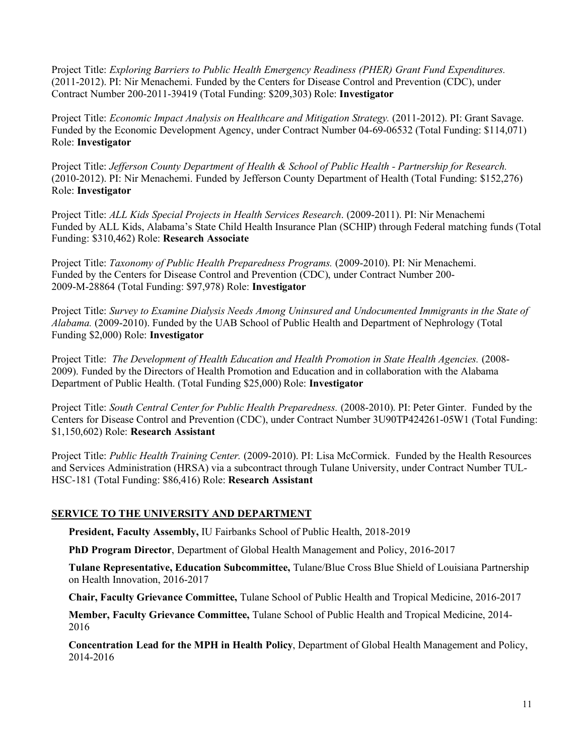Project Title: *Exploring Barriers to Public Health Emergency Readiness (PHER) Grant Fund Expenditures.*  (2011-2012). PI: Nir Menachemi. Funded by the Centers for Disease Control and Prevention (CDC), under Contract Number 200-2011-39419 (Total Funding: \$209,303) Role: **Investigator**

Project Title: *Economic Impact Analysis on Healthcare and Mitigation Strategy.* (2011-2012). PI: Grant Savage. Funded by the Economic Development Agency, under Contract Number 04-69-06532 (Total Funding: \$114,071) Role: **Investigator**

Project Title: *Jefferson County Department of Health & School of Public Health - Partnership for Research.*  (2010-2012). PI: Nir Menachemi. Funded by Jefferson County Department of Health (Total Funding: \$152,276) Role: **Investigator**

Project Title: *ALL Kids Special Projects in Health Services Research*. (2009-2011). PI: Nir Menachemi Funded by ALL Kids, Alabama's State Child Health Insurance Plan (SCHIP) through Federal matching funds (Total Funding: \$310,462) Role: **Research Associate**

Project Title: *Taxonomy of Public Health Preparedness Programs.* (2009-2010). PI: Nir Menachemi. Funded by the Centers for Disease Control and Prevention (CDC), under Contract Number 200- 2009-M-28864 (Total Funding: \$97,978) Role: **Investigator** 

Project Title: *Survey to Examine Dialysis Needs Among Uninsured and Undocumented Immigrants in the State of Alabama.* (2009-2010). Funded by the UAB School of Public Health and Department of Nephrology (Total Funding \$2,000) Role: **Investigator**

Project Title: *The Development of Health Education and Health Promotion in State Health Agencies.* (2008- 2009). Funded by the Directors of Health Promotion and Education and in collaboration with the Alabama Department of Public Health. (Total Funding \$25,000) Role: **Investigator**

Project Title: *South Central Center for Public Health Preparedness.* (2008-2010). PI: Peter Ginter. Funded by the Centers for Disease Control and Prevention (CDC), under Contract Number 3U90TP424261-05W1 (Total Funding: \$1,150,602) Role: **Research Assistant**

Project Title: *Public Health Training Center.* (2009-2010). PI: Lisa McCormick. Funded by the Health Resources and Services Administration (HRSA) via a subcontract through Tulane University, under Contract Number TUL-HSC-181 (Total Funding: \$86,416) Role: **Research Assistant**

## **SERVICE TO THE UNIVERSITY AND DEPARTMENT**

**President, Faculty Assembly,** IU Fairbanks School of Public Health, 2018-2019

**PhD Program Director**, Department of Global Health Management and Policy, 2016-2017

**Tulane Representative, Education Subcommittee,** Tulane/Blue Cross Blue Shield of Louisiana Partnership on Health Innovation, 2016-2017

**Chair, Faculty Grievance Committee,** Tulane School of Public Health and Tropical Medicine, 2016-2017

**Member, Faculty Grievance Committee,** Tulane School of Public Health and Tropical Medicine, 2014- 2016

**Concentration Lead for the MPH in Health Policy**, Department of Global Health Management and Policy, 2014-2016